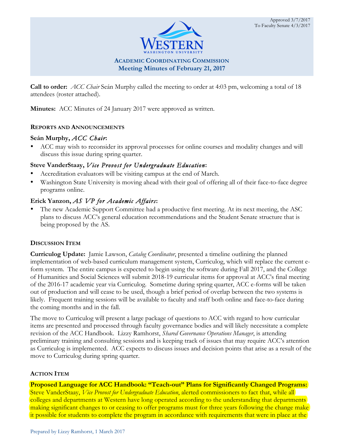

 **Call to order:** *ACC Chair* Seán Murphy called the meeting to order at 4:03 pm, welcoming a total of 18 attendees (roster attached).

**Minutes:** ACC Minutes of 24 January 2017 were approved as written.

### **REPORTS AND ANNOUNCEMENTS**

### **Seán Murphy,** *ACC Chair***:**

• ACC may wish to reconsider its approval processes for online courses and modality changes and will discuss this issue during spring quarter.

## **Steve VanderStaay,** *Vice Provost for Undergraduate Education***:**

- Accreditation evaluators will be visiting campus at the end of March.
- Washington State University is moving ahead with their goal of offering all of their face-to-face degree programs online.

# **Erick Yanzon,** *AS VP for Academic Affairs***:**

 plans to discuss ACC's general education recommendations and the Student Senate structure that is The new Academic Support Committee had a productive first meeting. At its next meeting, the ASC being proposed by the AS.

## **DISCUSSION ITEM**

 **Curriculog Update:** Jamie Lawson, *Catalog Coordinator*, presented a timeline outlining the planned of the 2016-17 academic year via Curriculog. Sometime during spring quarter, ACC e-forms will be taken implementation of web-based curriculum management system, Curriculog, which will replace the current eform system. The entire campus is expected to begin using the software during Fall 2017, and the College of Humanities and Social Sciences will submit 2018-19 curricular items for approval at ACC's final meeting out of production and will cease to be used, though a brief period of overlap between the two systems is likely. Frequent training sessions will be available to faculty and staff both online and face-to-face during the coming months and in the fall.

The move to Curriculog will present a large package of questions to ACC with regard to how curricular items are presented and processed through faculty governance bodies and will likely necessitate a complete revision of the ACC Handbook. Lizzy Ramhorst, *Shared Governance Operations Manager*, is attending preliminary training and consulting sessions and is keeping track of issues that may require ACC's attention as Curriculog is implemented. ACC expects to discuss issues and decision points that arise as a result of the move to Curriculog during spring quarter.

## **ACTION ITEM**

 Steve VanderStaay, *Vice Provost for Undergraduate Education*, alerted commissioners to fact that, while all **Proposed Language for ACC Handbook: "Teach-out" Plans for Significantly Changed Programs:**  colleges and departments at Western have long operated according to the understanding that departments making significant changes to or ceasing to offer programs must for three years following the change make it possible for students to complete the program in accordance with requirements that were in place at the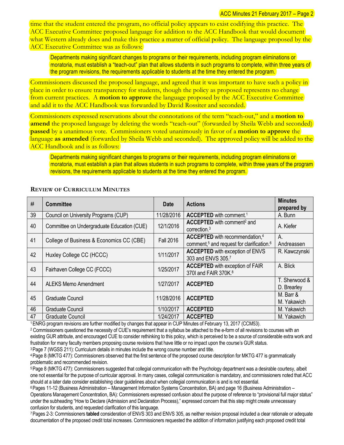time that the student entered the program, no official policy appears to exist codifying this practice. The ACC Executive Committee proposed language for addition to the ACC Handbook that would document what Western already does and make this practice a matter of official policy. The language proposed by the ACC Executive Committee was as follows:

 Departments making significant changes to programs or their requirements, including program eliminations or moratoria, must establish a "teach-out" plan that allows students in such programs to complete, within three years of the program revisions, the requirements applicable to students at the time they entered the program.

Commissioners discussed the proposed language, and agreed that it was important to have such a policy in place in order to ensure transparency for students, though the policy as proposed represents no change from current practices. A **motion to approve** the language proposed by the ACC Executive Committee and add it to the ACC Handbook was forwarded by David Rossiter and seconded.

 **passed** by a unanimous vote. Commissioners voted unanimously in favor of a **motion to approve** the Commissioners expressed reservations about the connotations of the term "teach-out," and a **motion to amend** the proposed language by deleting the words "teach-out" (forwarded by Sheila Webb and seconded) language **as amended** (forwarded by Sheila Webb and seconded). The approved policy will be added to the ACC Handbook and is as follows:

 Departments making significant changes to programs or their requirements, including program eliminations or moratoria, must establish a plan that allows students in such programs to complete, within three years of the program revisions, the requirements applicable to students at the time they entered the program.

| #  | <b>Committee</b>                           | <b>Date</b>      | <b>Actions</b>                                                                                                  | <b>Minutes</b><br>prepared by |
|----|--------------------------------------------|------------------|-----------------------------------------------------------------------------------------------------------------|-------------------------------|
| 39 | Council on University Programs (CUP)       | 11/28/2016       | <b>ACCEPTED</b> with comment. <sup>1</sup>                                                                      | A. Bunn                       |
| 40 | Committee on Undergraduate Education (CUE) | 12/1/2016        | ACCEPTED with comment <sup>2</sup> and<br>correction. $3$                                                       | A. Kiefer                     |
| 41 | College of Business & Economics CC (CBE)   | <b>Fall 2016</b> | ACCEPTED with recommendation, <sup>4</sup><br>comment, <sup>5</sup> and request for clarification. <sup>6</sup> | A.<br>Andreassen              |
| 42 | Huxley College CC (HCCC)                   | 1/11/2017        | <b>ACCEPTED</b> with exception of ENVS<br>303 and ENVS 305.7                                                    | R. Kawczynski                 |
| 43 | Fairhaven College CC (FCCC)                | 1/25/2017        | <b>ACCEPTED</b> with exception of FAIR<br>370I and FAIR 370K. <sup>8</sup>                                      | A. Blick                      |
| 44 | <b>ALEKS Memo Amendment</b>                | 1/27/2017        | <b>ACCEPTED</b>                                                                                                 | T. Sherwood &<br>D. Brearley  |
| 45 | Graduate Council                           | 11/28/2016       | <b>ACCEPTED</b>                                                                                                 | M. Barr &<br>M. Yakawich      |
| 46 | <b>Graduate Council</b>                    | 1/10/2017        | <b>ACCEPTED</b>                                                                                                 | M. Yakawich                   |
| 47 | <b>Graduate Council</b>                    | 1/24/2017        | <b>ACCEPTED</b>                                                                                                 | M. Yakawich                   |

#### **REVIEW OF CURRICULUM MINUTES**

<sup>1</sup> ENRG program revisions are further modified by changes that appear in CUP Minutes of February 13, 2017 (CCM53).

1ENRG program revisions are further modified by changes that appear in CUP Minutes of February 13, 2017 (CCM53).<br><sup>2</sup> Commissioners questioned the necessity of CUE's requirement that a syllabus be attached to the e-form of existing GUR attribute, and encouraged CUE to consider rethinking to this policy, which is perceived to be a source of considerable extra work and frustration for many faculty members proposing course revisions that have little or no impact upon the course's GUR status.

<sup>3</sup> Page 7 (WGSS 211): Curriculum details in minutes include the wrong course number and title.

 4 Page 8 (MKTG 477): Commissioners observed that the first sentence of the proposed course description for MKTG 477 is grammatically problematic and recommended revision.

 5 Page 8 (MKTG 477): Commissioners suggested that collegial communication with the Psychology department was a desirable courtesy, albeit one not essential for the purpose of curricular approval. In many cases, collegial communication is mandatory, and commissioners noted that ACC should at a later date consider establishing clear guidelines about when collegial communication is and is not essential.

 6 Pages 11-12 (Business Administration – Management Information Systems Concentration, BA) and page 16 (Business Administration – Operations Management Concentration, BA): Commissioners expressed confusion about the purpose of reference to "provisional full major status" under the subheading "How to Declare (Admission and Declaration Process)," expressed concern that this step might create unnecessary confusion for students, and requested clarification of this language.

 7 Pages 2-3: Commissioners **tabled** consideration of ENVS 303 and ENVS 305, as neither revision proposal included a clear rationale or adequate documentation of the proposed credit total increases. Commissioners requested the addition of information justifying each proposed credit total